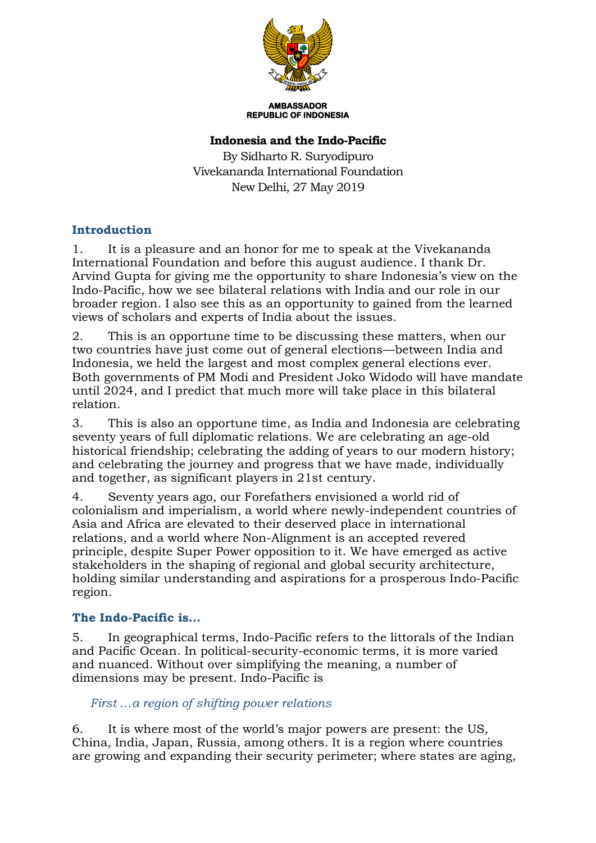

**AMBASSADOR REPUBLIC OF INDONESIA** 

### **Indonesia and the Indo-Pacific**

By Sidharto R. Suryodipuro Vivekananda International Foundation New Delhi, 27 May 2019

## **Introduction**

1. It is a pleasure and an honor for me to speak at the Vivekananda International Foundation and before this august audience. I thank Dr. Arvind Gupta for giving me the opportunity to share Indonesia's view on the Indo-Pacific, how we see bilateral relations with India and our role in our broader region. I also see this as an opportunity to gained from the learned views of scholars and experts of India about the issues.

2. This is an opportune time to be discussing these matters, when our two countries have just come out of general elections—between India and Indonesia, we held the largest and most complex general elections ever. Both governments of PM Modi and President Joko Widodo will have mandate until 2024, and I predict that much more will take place in this bilateral relation.

3. This is also an opportune time, as India and Indonesia are celebrating seventy years of full diplomatic relations. We are celebrating an age-old historical friendship; celebrating the adding of years to our modern history; and celebrating the journey and progress that we have made, individually and together, as significant players in 21st century.

4. Seventy years ago, our Forefathers envisioned a world rid of colonialism and imperialism, a world where newly-independent countries of Asia and Africa are elevated to their deserved place in international relations, and a world where Non-Alignment is an accepted revered principle, despite Super Power opposition to it. We have emerged as active stakeholders in the shaping of regional and global security architecture, holding similar understanding and aspirations for a prosperous Indo-Pacific region.

## **The Indo-Pacific is…**

5. In geographical terms, Indo-Pacific refers to the littorals of the Indian and Pacific Ocean. In political-security-economic terms, it is more varied and nuanced. Without over simplifying the meaning, a number of dimensions may be present. Indo-Pacific is

## *First …a region of shifting power relations*

6. It is where most of the world's major powers are present: the US, China, India, Japan, Russia, among others. It is a region where countries are growing and expanding their security perimeter; where states are aging,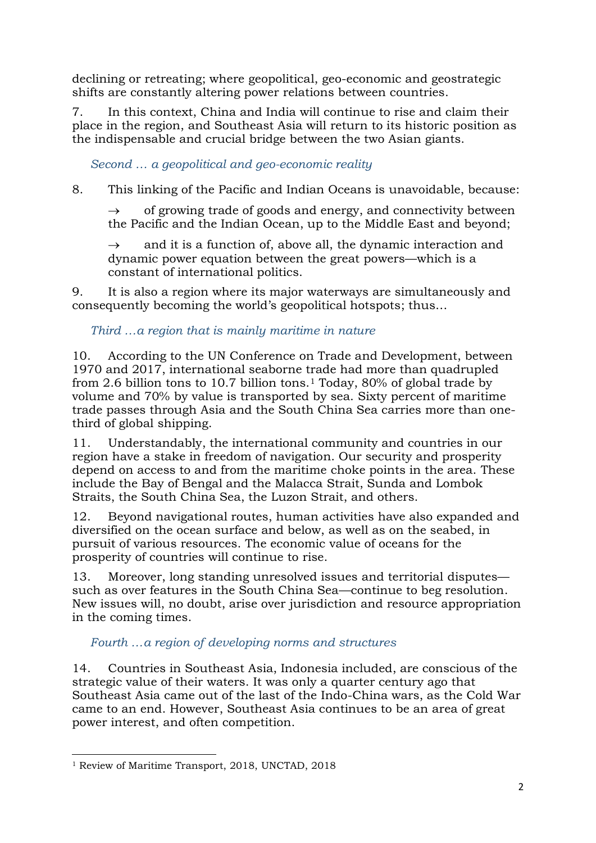declining or retreating; where geopolitical, geo-economic and geostrategic shifts are constantly altering power relations between countries.

7. In this context, China and India will continue to rise and claim their place in the region, and Southeast Asia will return to its historic position as the indispensable and crucial bridge between the two Asian giants.

*Second … a geopolitical and geo-economic reality*

8. This linking of the Pacific and Indian Oceans is unavoidable, because:

 $\rightarrow$  of growing trade of goods and energy, and connectivity between the Pacific and the Indian Ocean, up to the Middle East and beyond;

and it is a function of, above all, the dynamic interaction and dynamic power equation between the great powers—which is a constant of international politics.

9. It is also a region where its major waterways are simultaneously and consequently becoming the world's geopolitical hotspots; thus…

# *Third …a region that is mainly maritime in nature*

10. According to the UN Conference on Trade and Development, between 1970 and 2017, international seaborne trade had more than quadrupled from 2.6 billion tons to 10.7 billion tons.<sup>1</sup> Today, 80% of global trade by volume and 70% by value is transported by sea. Sixty percent of maritime trade passes through Asia and the South China Sea carries more than onethird of global shipping.

11. Understandably, the international community and countries in our region have a stake in freedom of navigation. Our security and prosperity depend on access to and from the maritime choke points in the area. These include the Bay of Bengal and the Malacca Strait, Sunda and Lombok Straits, the South China Sea, the Luzon Strait, and others.

12. Beyond navigational routes, human activities have also expanded and diversified on the ocean surface and below, as well as on the seabed, in pursuit of various resources. The economic value of oceans for the prosperity of countries will continue to rise.

13. Moreover, long standing unresolved issues and territorial disputes such as over features in the South China Sea—continue to beg resolution. New issues will, no doubt, arise over jurisdiction and resource appropriation in the coming times.

*Fourth …a region of developing norms and structures*

14. Countries in Southeast Asia, Indonesia included, are conscious of the strategic value of their waters. It was only a quarter century ago that Southeast Asia came out of the last of the Indo-China wars, as the Cold War came to an end. However, Southeast Asia continues to be an area of great power interest, and often competition.

<sup>.</sup> <sup>1</sup> Review of Maritime Transport, 2018, UNCTAD, 2018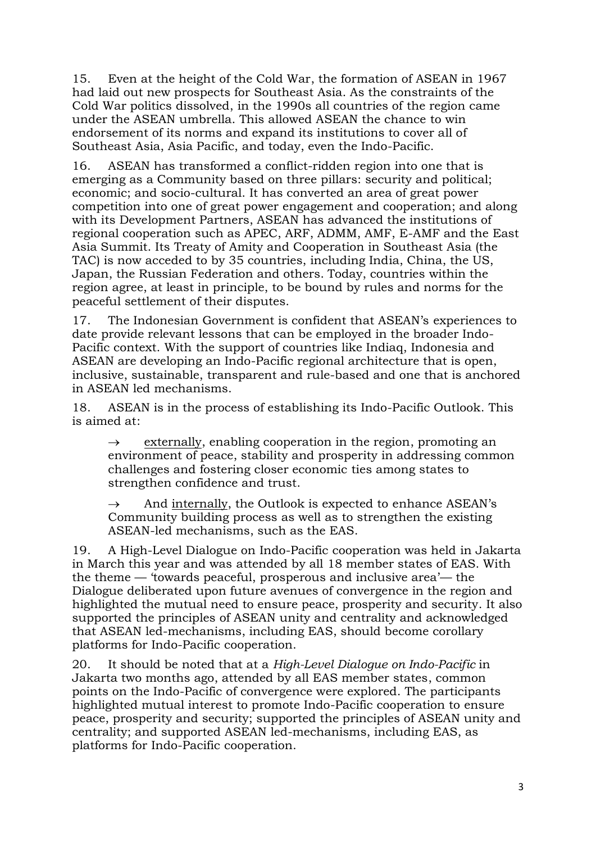15. Even at the height of the Cold War, the formation of ASEAN in 1967 had laid out new prospects for Southeast Asia. As the constraints of the Cold War politics dissolved, in the 1990s all countries of the region came under the ASEAN umbrella. This allowed ASEAN the chance to win endorsement of its norms and expand its institutions to cover all of Southeast Asia, Asia Pacific, and today, even the Indo-Pacific.

16. ASEAN has transformed a conflict-ridden region into one that is emerging as a Community based on three pillars: security and political; economic; and socio-cultural. It has converted an area of great power competition into one of great power engagement and cooperation; and along with its Development Partners, ASEAN has advanced the institutions of regional cooperation such as APEC, ARF, ADMM, AMF, E-AMF and the East Asia Summit. Its Treaty of Amity and Cooperation in Southeast Asia (the TAC) is now acceded to by 35 countries, including India, China, the US, Japan, the Russian Federation and others. Today, countries within the region agree, at least in principle, to be bound by rules and norms for the peaceful settlement of their disputes.

17. The Indonesian Government is confident that ASEAN's experiences to date provide relevant lessons that can be employed in the broader Indo-Pacific context. With the support of countries like Indiaq, Indonesia and ASEAN are developing an Indo-Pacific regional architecture that is open, inclusive, sustainable, transparent and rule-based and one that is anchored in ASEAN led mechanisms.

18. ASEAN is in the process of establishing its Indo-Pacific Outlook. This is aimed at:

 $\rightarrow$  externally, enabling cooperation in the region, promoting an environment of peace, stability and prosperity in addressing common challenges and fostering closer economic ties among states to strengthen confidence and trust.

 $\rightarrow$  And internally, the Outlook is expected to enhance ASEAN's Community building process as well as to strengthen the existing ASEAN-led mechanisms, such as the EAS.

19. A High-Level Dialogue on Indo-Pacific cooperation was held in Jakarta in March this year and was attended by all 18 member states of EAS. With the theme — 'towards peaceful, prosperous and inclusive area'— the Dialogue deliberated upon future avenues of convergence in the region and highlighted the mutual need to ensure peace, prosperity and security. It also supported the principles of ASEAN unity and centrality and acknowledged that ASEAN led-mechanisms, including EAS, should become corollary platforms for Indo-Pacific cooperation.

20. It should be noted that at a *High-Level Dialogue on Indo-Pacific* in Jakarta two months ago, attended by all EAS member states, common points on the Indo-Pacific of convergence were explored. The participants highlighted mutual interest to promote Indo-Pacific cooperation to ensure peace, prosperity and security; supported the principles of ASEAN unity and centrality; and supported ASEAN led-mechanisms, including EAS, as platforms for Indo-Pacific cooperation.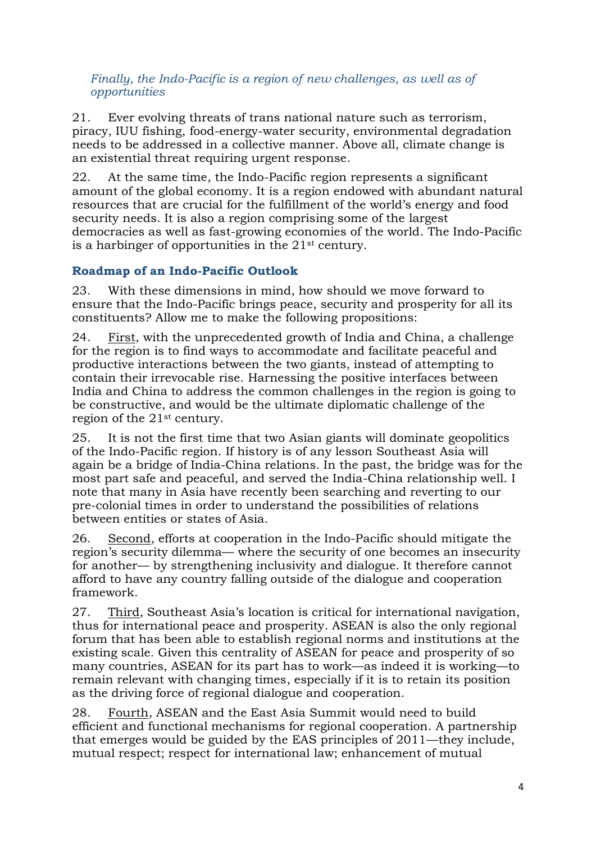*Finally, the Indo-Pacific is a region of new challenges, as well as of opportunities*

21. Ever evolving threats of trans national nature such as terrorism, piracy, IUU fishing, food-energy-water security, environmental degradation needs to be addressed in a collective manner. Above all, climate change is an existential threat requiring urgent response.

22. At the same time, the Indo-Pacific region represents a significant amount of the global economy. It is a region endowed with abundant natural resources that are crucial for the fulfillment of the world's energy and food security needs. It is also a region comprising some of the largest democracies as well as fast-growing economies of the world. The Indo-Pacific is a harbinger of opportunities in the 21st century.

## **Roadmap of an Indo-Pacific Outlook**

23. With these dimensions in mind, how should we move forward to ensure that the Indo-Pacific brings peace, security and prosperity for all its constituents? Allow me to make the following propositions:

24. First, with the unprecedented growth of India and China, a challenge for the region is to find ways to accommodate and facilitate peaceful and productive interactions between the two giants, instead of attempting to contain their irrevocable rise. Harnessing the positive interfaces between India and China to address the common challenges in the region is going to be constructive, and would be the ultimate diplomatic challenge of the region of the 21st century.

25. It is not the first time that two Asian giants will dominate geopolitics of the Indo-Pacific region. If history is of any lesson Southeast Asia will again be a bridge of India-China relations. In the past, the bridge was for the most part safe and peaceful, and served the India-China relationship well. I note that many in Asia have recently been searching and reverting to our pre-colonial times in order to understand the possibilities of relations between entities or states of Asia.

26. Second, efforts at cooperation in the Indo-Pacific should mitigate the region's security dilemma— where the security of one becomes an insecurity for another— by strengthening inclusivity and dialogue. It therefore cannot afford to have any country falling outside of the dialogue and cooperation framework.

27. Third, Southeast Asia's location is critical for international navigation, thus for international peace and prosperity. ASEAN is also the only regional forum that has been able to establish regional norms and institutions at the existing scale. Given this centrality of ASEAN for peace and prosperity of so many countries, ASEAN for its part has to work—as indeed it is working—to remain relevant with changing times, especially if it is to retain its position as the driving force of regional dialogue and cooperation.

28. Fourth, ASEAN and the East Asia Summit would need to build efficient and functional mechanisms for regional cooperation. A partnership that emerges would be guided by the EAS principles of 2011—they include, mutual respect; respect for international law; enhancement of mutual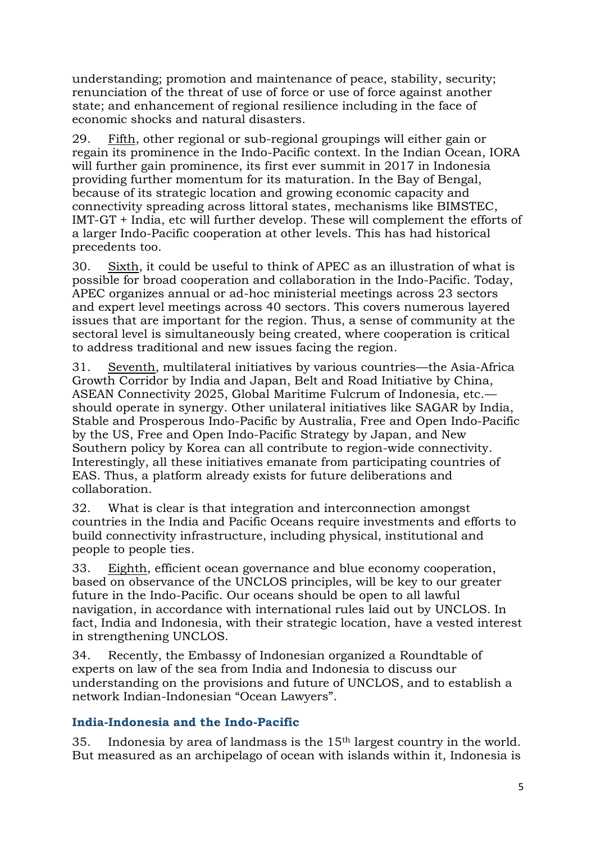understanding; promotion and maintenance of peace, stability, security; renunciation of the threat of use of force or use of force against another state; and enhancement of regional resilience including in the face of economic shocks and natural disasters.

29. Fifth, other regional or sub-regional groupings will either gain or regain its prominence in the Indo-Pacific context. In the Indian Ocean, IORA will further gain prominence, its first ever summit in 2017 in Indonesia providing further momentum for its maturation. In the Bay of Bengal, because of its strategic location and growing economic capacity and connectivity spreading across littoral states, mechanisms like BIMSTEC, IMT-GT + India, etc will further develop. These will complement the efforts of a larger Indo-Pacific cooperation at other levels. This has had historical precedents too.

30. Sixth, it could be useful to think of APEC as an illustration of what is possible for broad cooperation and collaboration in the Indo-Pacific. Today, APEC organizes annual or ad-hoc ministerial meetings across 23 sectors and expert level meetings across 40 sectors. This covers numerous layered issues that are important for the region. Thus, a sense of community at the sectoral level is simultaneously being created, where cooperation is critical to address traditional and new issues facing the region.

31. Seventh, multilateral initiatives by various countries—the Asia-Africa Growth Corridor by India and Japan, Belt and Road Initiative by China, ASEAN Connectivity 2025, Global Maritime Fulcrum of Indonesia, etc. should operate in synergy. Other unilateral initiatives like SAGAR by India, Stable and Prosperous Indo-Pacific by Australia, Free and Open Indo-Pacific by the US, Free and Open Indo-Pacific Strategy by Japan, and New Southern policy by Korea can all contribute to region-wide connectivity. Interestingly, all these initiatives emanate from participating countries of EAS. Thus, a platform already exists for future deliberations and collaboration.

32. What is clear is that integration and interconnection amongst countries in the India and Pacific Oceans require investments and efforts to build connectivity infrastructure, including physical, institutional and people to people ties.

33. Eighth, efficient ocean governance and blue economy cooperation, based on observance of the UNCLOS principles, will be key to our greater future in the Indo-Pacific. Our oceans should be open to all lawful navigation, in accordance with international rules laid out by UNCLOS. In fact, India and Indonesia, with their strategic location, have a vested interest in strengthening UNCLOS.

34. Recently, the Embassy of Indonesian organized a Roundtable of experts on law of the sea from India and Indonesia to discuss our understanding on the provisions and future of UNCLOS, and to establish a network Indian-Indonesian "Ocean Lawyers".

## **India-Indonesia and the Indo-Pacific**

35. Indonesia by area of landmass is the 15th largest country in the world. But measured as an archipelago of ocean with islands within it, Indonesia is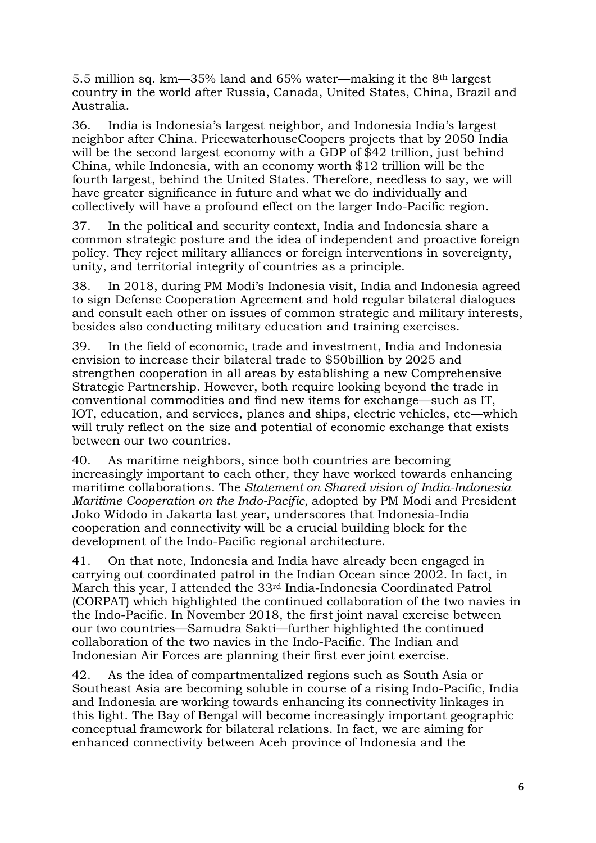5.5 million sq. km—35% land and 65% water—making it the 8th largest country in the world after Russia, Canada, United States, China, Brazil and Australia.

36. India is Indonesia's largest neighbor, and Indonesia India's largest neighbor after China. PricewaterhouseCoopers projects that by 2050 India will be the second largest economy with a GDP of \$42 trillion, just behind China, while Indonesia, with an economy worth \$12 trillion will be the fourth largest, behind the United States. Therefore, needless to say, we will have greater significance in future and what we do individually and collectively will have a profound effect on the larger Indo-Pacific region.

37. In the political and security context, India and Indonesia share a common strategic posture and the idea of independent and proactive foreign policy. They reject military alliances or foreign interventions in sovereignty, unity, and territorial integrity of countries as a principle.

38. In 2018, during PM Modi's Indonesia visit, India and Indonesia agreed to sign Defense Cooperation Agreement and hold regular bilateral dialogues and consult each other on issues of common strategic and military interests, besides also conducting military education and training exercises.

39. In the field of economic, trade and investment, India and Indonesia envision to increase their bilateral trade to \$50billion by 2025 and strengthen cooperation in all areas by establishing a new Comprehensive Strategic Partnership. However, both require looking beyond the trade in conventional commodities and find new items for exchange—such as IT, IOT, education, and services, planes and ships, electric vehicles, etc—which will truly reflect on the size and potential of economic exchange that exists between our two countries.

40. As maritime neighbors, since both countries are becoming increasingly important to each other, they have worked towards enhancing maritime collaborations. The *Statement on Shared vision of India-Indonesia Maritime Cooperation on the Indo-Pacific*, adopted by PM Modi and President Joko Widodo in Jakarta last year, underscores that Indonesia-India cooperation and connectivity will be a crucial building block for the development of the Indo-Pacific regional architecture.

41. On that note, Indonesia and India have already been engaged in carrying out coordinated patrol in the Indian Ocean since 2002. In fact, in March this year, I attended the 33rd India-Indonesia Coordinated Patrol (CORPAT) which highlighted the continued collaboration of the two navies in the Indo-Pacific. In November 2018, the first joint naval exercise between our two countries—Samudra Sakti—further highlighted the continued collaboration of the two navies in the Indo-Pacific. The Indian and Indonesian Air Forces are planning their first ever joint exercise.

42. As the idea of compartmentalized regions such as South Asia or Southeast Asia are becoming soluble in course of a rising Indo-Pacific, India and Indonesia are working towards enhancing its connectivity linkages in this light. The Bay of Bengal will become increasingly important geographic conceptual framework for bilateral relations. In fact, we are aiming for enhanced connectivity between Aceh province of Indonesia and the